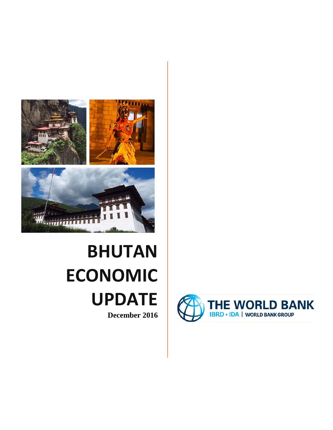

# **BHUTAN ECONOMIC UPDATE December 2016**

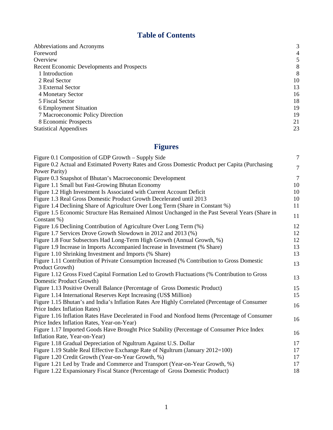## **Table of Contents**

| Abbreviations and Acronyms                        | 3  |
|---------------------------------------------------|----|
| Foreword                                          | 4  |
| Overview                                          |    |
| <b>Recent Economic Developments and Prospects</b> | 8  |
| 1 Introduction                                    | 8  |
| 2 Real Sector                                     | 10 |
| 3 External Sector                                 | 13 |
| 4 Monetary Sector                                 | 16 |
| 5 Fiscal Sector                                   | 18 |
| 6 Employment Situation                            | 19 |
| 7 Macroeconomic Policy Direction                  | 19 |
| 8 Economic Prospects                              | 21 |
| <b>Statistical Appendixes</b>                     | 23 |

# **Figures**

| Figure 0.1 Composition of GDP Growth – Supply Side                                              | $\tau$         |
|-------------------------------------------------------------------------------------------------|----------------|
| Figure 0.2 Actual and Estimated Poverty Rates and Gross Domestic Product per Capita (Purchasing | $\tau$         |
| Power Parity)                                                                                   |                |
| Figure 0.3 Snapshot of Bhutan's Macroeconomic Development                                       | $\overline{7}$ |
| Figure 1.1 Small but Fast-Growing Bhutan Economy                                                | 10             |
| Figure 1.2 High Investment Is Associated with Current Account Deficit                           | 10             |
| Figure 1.3 Real Gross Domestic Product Growth Decelerated until 2013                            | 10             |
| Figure 1.4 Declining Share of Agriculture Over Long Term (Share in Constant %)                  | 11             |
| Figure 1.5 Economic Structure Has Remained Almost Unchanged in the Past Several Years (Share in | 11             |
| Constant %)                                                                                     |                |
| Figure 1.6 Declining Contribution of Agriculture Over Long Term (%)                             | 12             |
| Figure 1.7 Services Drove Growth Slowdown in 2012 and 2013 (%)                                  | 12             |
| Figure 1.8 Four Subsectors Had Long-Term High Growth (Annual Growth, %)                         | 12             |
| Figure 1.9 Increase in Imports Accompanied Increase in Investment (% Share)                     | 13             |
| Figure 1.10 Shrinking Investment and Imports (% Share)                                          | 13             |
| Figure 1.11 Contribution of Private Consumption Increased (% Contribution to Gross Domestic     | 13             |
| Product Growth)                                                                                 |                |
| Figure 1.12 Gross Fixed Capital Formation Led to Growth Fluctuations (% Contribution to Gross   | 13             |
| Domestic Product Growth)                                                                        |                |
| Figure 1.13 Positive Overall Balance (Percentage of Gross Domestic Product)                     | 15             |
| Figure 1.14 International Reserves Kept Increasing (US\$ Million)                               | 15             |
| Figure 1.15 Bhutan's and India's Inflation Rates Are Highly Correlated (Percentage of Consumer  | 16             |
| Price Index Inflation Rates)                                                                    |                |
| Figure 1.16 Inflation Rates Have Decelerated in Food and Nonfood Items (Percentage of Consumer  | 16             |
| Price Index Inflation Rates, Year-on-Year)                                                      |                |
| Figure 1.17 Imported Goods Have Brought Price Stability (Percentage of Consumer Price Index     | 16             |
| Inflation Rate, Year-on-Year)                                                                   |                |
| Figure 1.18 Gradual Depreciation of Ngultrum Against U.S. Dollar                                | 17             |
| Figure 1.19 Stable Real Effective Exchange Rate of Ngultrum (January 2012=100)                  | 17             |
| Figure 1.20 Credit Growth (Year-on-Year Growth, %)                                              | 17             |
| Figure 1.21 Led by Trade and Commerce and Transport (Year-on-Year Growth, %)                    | 17             |
| Figure 1.22 Expansionary Fiscal Stance (Percentage of Gross Domestic Product)                   | 18             |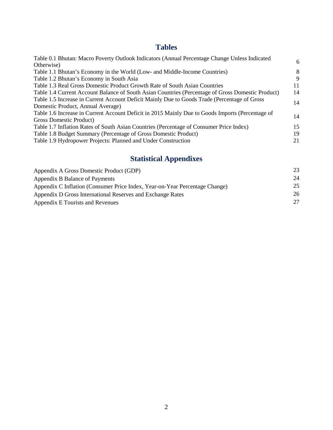## **Tables**

| Table 0.1 Bhutan: Macro Poverty Outlook Indicators (Annual Percentage Change Unless Indicated     |    |
|---------------------------------------------------------------------------------------------------|----|
| Otherwise)                                                                                        | 6  |
| Table 1.1 Bhutan's Economy in the World (Low- and Middle-Income Countries)                        | 8  |
| Table 1.2 Bhutan's Economy in South Asia                                                          | 9  |
| Table 1.3 Real Gross Domestic Product Growth Rate of South Asian Countries                        | 11 |
| Table 1.4 Current Account Balance of South Asian Countries (Percentage of Gross Domestic Product) | 14 |
| Table 1.5 Increase in Current Account Deficit Mainly Due to Goods Trade (Percentage of Gross      | 14 |
| Domestic Product, Annual Average)                                                                 |    |
| Table 1.6 Increase in Current Account Deficit in 2015 Mainly Due to Goods Imports (Percentage of  | 14 |
| Gross Domestic Product)                                                                           |    |
| Table 1.7 Inflation Rates of South Asian Countries (Percentage of Consumer Price Index)           | 15 |
| Table 1.8 Budget Summary (Percentage of Gross Domestic Product)                                   | 19 |
| Table 1.9 Hydropower Projects: Planned and Under Construction                                     | 21 |
|                                                                                                   |    |

# **Statistical Appendixes**

| Appendix A Gross Domestic Product (GDP)                                     | 23 |
|-----------------------------------------------------------------------------|----|
| Appendix B Balance of Payments                                              | 24 |
| Appendix C Inflation (Consumer Price Index, Year-on-Year Percentage Change) | 25 |
| Appendix D Gross International Reserves and Exchange Rates                  | 26 |
| Appendix E Tourists and Revenues                                            | 27 |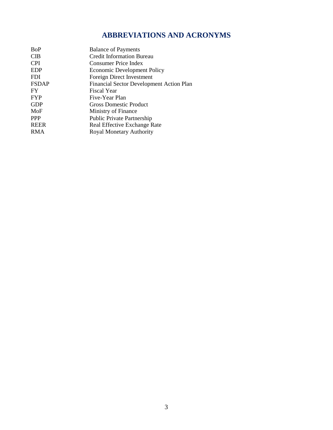## **ABBREVIATIONS AND ACRONYMS**

| <b>BoP</b>   | <b>Balance of Payments</b>                      |
|--------------|-------------------------------------------------|
| <b>CIB</b>   | <b>Credit Information Bureau</b>                |
| <b>CPI</b>   | <b>Consumer Price Index</b>                     |
| <b>EDP</b>   | <b>Economic Development Policy</b>              |
| <b>FDI</b>   | Foreign Direct Investment                       |
| <b>FSDAP</b> | <b>Financial Sector Development Action Plan</b> |
| <b>FY</b>    | <b>Fiscal Year</b>                              |
| <b>FYP</b>   | Five-Year Plan                                  |
| <b>GDP</b>   | Gross Domestic Product                          |
| MoF          | Ministry of Finance                             |
| <b>PPP</b>   | Public Private Partnership                      |
| <b>REER</b>  | Real Effective Exchange Rate                    |
| <b>RMA</b>   | Royal Monetary Authority                        |
|              |                                                 |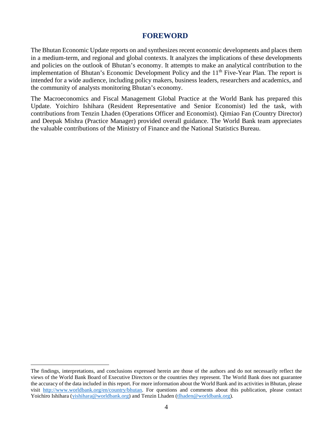#### **FOREWORD**

The Bhutan Economic Update reports on and synthesizes recent economic developments and places them in a medium-term, and regional and global contexts. It analyzes the implications of these developments and policies on the outlook of Bhutan's economy. It attempts to make an analytical contribution to the implementation of Bhutan's Economic Development Policy and the 11<sup>th</sup> Five-Year Plan. The report is intended for a wide audience, including policy makers, business leaders, researchers and academics, and the community of analysts monitoring Bhutan's economy.

The Macroeconomics and Fiscal Management Global Practice at the World Bank has prepared this Update. Yoichiro Ishihara (Resident Representative and Senior Economist) led the task, with contributions from Tenzin Lhaden (Operations Officer and Economist). Qimiao Fan (Country Director) and Deepak Mishra (Practice Manager) provided overall guidance. The World Bank team appreciates the valuable contributions of the Ministry of Finance and the National Statistics Bureau.

 $\overline{a}$ 

<span id="page-4-0"></span>The findings, interpretations, and conclusions expressed herein are those of the authors and do not necessarily reflect the views of the World Bank Board of Executive Directors or the countries they represent. The World Bank does not guarantee the accuracy of the data included in this report. For more information about the World Bank and its activities in Bhutan, please visit [http://www.worldbank.org/en/country/bhutan.](http://www.worldbank.org/en/country/bhutan) For questions and comments about this publication, please contact Yoichiro Ishihara [\(yishihara@worldbank.org\)](mailto:yishihara@worldbank.org) and Tenzin Lhaden [\(tlhaden@worldbank.org\)](mailto:tlhaden@worldbank.org).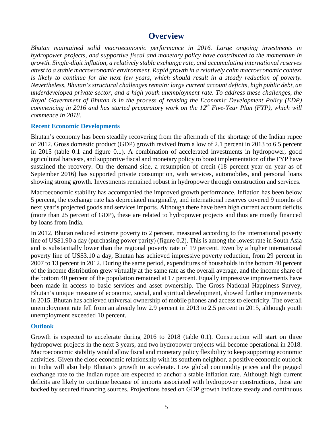### **Overview**

*Bhutan maintained solid macroeconomic performance in 2016. Large ongoing investments in hydropower projects, and supportive fiscal and monetary policy have contributed to the momentum in growth. Single-digit inflation, a relatively stable exchange rate, and accumulating international reserves attest to a stable macroeconomic environment. Rapid growth in a relatively calm macroeconomic context is likely to continue for the next few years, which should result in a steady reduction of poverty. Nevertheless, Bhutan's structural challenges remain: large current account deficits, high public debt, an underdeveloped private sector, and a high youth unemployment rate. To address these challenges, the Royal Government of Bhutan is in the process of revising the Economic Development Policy (EDP) commencing in 2016 and has started preparatory work on the 12th Five-Year Plan (FYP), which will commence in 2018.*

#### **Recent Economic Developments**

Bhutan's economy has been steadily recovering from the aftermath of the shortage of the Indian rupee of 2012. Gross domestic product (GDP) growth revived from a low of 2.1 percent in 2013 to 6.5 percent in 2015 (table 0.1 and figure 0.1). A combination of accelerated investments in hydropower, good agricultural harvests, and supportive fiscal and monetary policy to boost implementation of the FYP have sustained the recovery. On the demand side, a resumption of credit (18 percent year on year as of September 2016) has supported private consumption, with services, automobiles, and personal loans showing strong growth. Investments remained robust in hydropower through construction and services.

Macroeconomic stability has accompanied the improved growth performance. Inflation has been below 5 percent, the exchange rate has depreciated marginally, and international reserves covered 9 months of next year's projected goods and services imports. Although there have been high current account deficits (more than 25 percent of GDP), these are related to hydropower projects and thus are mostly financed by loans from India.

In 2012, Bhutan reduced extreme poverty to 2 percent, measured according to the international poverty line of US\$1.90 a day (purchasing power parity) (figure 0.2). This is among the lowest rate in South Asia and is substantially lower than the regional poverty rate of 19 percent. Even by a higher international poverty line of US\$3.10 a day, Bhutan has achieved impressive poverty reduction, from 29 percent in 2007 to 13 percent in 2012. During the same period, expenditures of households in the bottom 40 percent of the income distribution grew virtually at the same rate as the overall average, and the income share of the bottom 40 percent of the population remained at 17 percent. Equally impressive improvements have been made in access to basic services and asset ownership. The Gross National Happiness Survey, Bhutan's unique measure of economic, social, and spiritual development, showed further improvements in 2015. Bhutan has achieved universal ownership of mobile phones and access to electricity. The overall unemployment rate fell from an already low 2.9 percent in 2013 to 2.5 percent in 2015, although youth unemployment exceeded 10 percent.

#### **Outlook**

Growth is expected to accelerate during 2016 to 2018 (table 0.1). Construction will start on three hydropower projects in the next 3 years, and two hydropower projects will become operational in 2018. Macroeconomic stability would allow fiscal and monetary policy flexibility to keep supporting economic activities. Given the close economic relationship with its southern neighbor, a positive economic outlook in India will also help Bhutan's growth to accelerate. Low global commodity prices and the pegged exchange rate to the Indian rupee are expected to anchor a stable inflation rate. Although high current deficits are likely to continue because of imports associated with hydropower constructions, these are backed by secured financing sources. Projections based on GDP growth indicate steady and continuous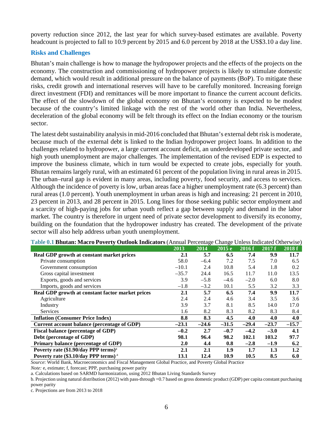poverty reduction since 2012, the last year for which survey-based estimates are available. Poverty headcount is projected to fall to 10.9 percent by 2015 and 6.0 percent by 2018 at the US\$3.10 a day line.

#### **Risks and Challenges**

Bhutan's main challenge is how to manage the hydropower projects and the effects of the projects on the economy. The construction and commissioning of hydropower projects is likely to stimulate domestic demand, which would result in additional pressure on the balance of payments (BoP). To mitigate these risks, credit growth and international reserves will have to be carefully monitored. Increasing foreign direct investment (FDI) and remittances will be more important to finance the current account deficits. The effect of the slowdown of the global economy on Bhutan's economy is expected to be modest because of the country's limited linkage with the rest of the world other than India. Nevertheless, deceleration of the global economy will be felt through its effect on the Indian economy or the tourism sector.

The latest debt sustainability analysis in mid-2016 concluded that Bhutan's external debt risk is moderate, because much of the external debt is linked to the Indian hydropower project loans. In addition to the challenges related to hydropower, a large current account deficit, an underdeveloped private sector, and high youth unemployment are major challenges. The implementation of the revised EDP is expected to improve the business climate, which in turn would be expected to create jobs, especially for youth. Bhutan remains largely rural, with an estimated 61 percent of the population living in rural areas in 2015. The urban–rural gap is evident in many areas, including poverty, food security, and access to services. Although the incidence of poverty is low, urban areas face a higher unemployment rate (6.3 percent) than rural areas (1.0 percent). Youth unemployment in urban areas is high and increasing: 21 percent in 2010, 23 percent in 2013, and 28 percent in 2015. Long lines for those seeking public sector employment and a scarcity of high-paying jobs for urban youth reflect a gap between supply and demand in the labor market. The country is therefore in urgent need of private sector development to diversify its economy, building on the foundation that the hydropower industry has created. The development of the private sector will also help address urban youth unemployment.

| Table 0.1 Dhuuan, macro I over ty Outlook Indicators (Timitan I creentage Change Omess Indicated Otherwise) | <b>2013</b> | <b>2014</b> | 2015e   | 2016f   | 2017f   | 2018f   |
|-------------------------------------------------------------------------------------------------------------|-------------|-------------|---------|---------|---------|---------|
| Real GDP growth at constant market prices                                                                   | 2.1         | 5.7         | 6.5     | 7.4     | 9.9     | 11.7    |
|                                                                                                             |             |             |         |         |         |         |
| Private consumption                                                                                         | 58.0        | $-6.4$      | 7.2     | 7.5     | 7.0     | 6.5     |
| Government consumption                                                                                      | $-10.1$     | 2.4         | 10.8    | 5.4     | 1.8     | 0.2     |
| Gross capital investment                                                                                    | $-35.7$     | 24.4        | 16.5    | 11.7    | 11.0    | 13.5    |
| Exports, goods and services                                                                                 | 3.9         | $-5.8$      | $-4.6$  | $-2.0$  | 6.0     | 8.0     |
| Imports, goods and services                                                                                 | $-1.8$      | $-3.2$      | 10.1    | 5.5     | 3.2     | 3.3     |
| Real GDP growth at constant factor market prices                                                            | 2.1         | 5.7         | 6.5     | 7.4     | 9.9     | 11.7    |
| Agriculture                                                                                                 | 2.4         | 2.4         | 4.6     | 3.4     | 3.5     | 3.6     |
| Industry                                                                                                    | 3.9         | 3.7         | 8.1     | 8.5     | 14.0    | 17.0    |
| Services                                                                                                    | 1.6         | 8.2         | 8.3     | 8.2     | 8.3     | 8.4     |
| <b>Inflation (Consumer Price Index)</b>                                                                     | 8.8         | 8.3         | 4.5     | 4.0     | 4.0     | 4.0     |
| Current account balance (percentage of GDP)                                                                 | $-23.1$     | $-24.6$     | $-31.5$ | $-29.4$ | $-23.7$ | $-15.7$ |
| <b>Fiscal balance (percentage of GDP)</b>                                                                   | $-0.2$      | 2.7         | $-0.7$  | $-4.2$  | $-3.0$  | 4.1     |
| Debt (percentage of GDP)                                                                                    | 98.1        | 96.4        | 98.2    | 102.1   | 103.2   | 97.7    |
| Primary balance (percentage of GDP)                                                                         | 2.0         | 4.4         | 0.8     | $-2.8$  | $-1.9$  | 6.2     |
| Poverty rate $$1.90/day$ PPP terms) <sup>a</sup>                                                            | 2.1         | 2.1         | 1.9     | $1.7\,$ | 1.3     | 1.2     |
| Poverty rate (\$3.10/day PPP terms) <sup>a</sup>                                                            | 13.1        | 12.4        | 10.9    | 10.5    | 8.5     | 6.0     |

**Table 0.1 Bhutan: Macro Poverty Outlook Indicators** (Annual Percentage Change Unless Indicated Otherwise)

*Source*: World Bank, Macroeconomics and Fiscal Management Global Practice, and Poverty Global Practice

*Note:* e, estimate; f, forecast; PPP, purchasing power parity

a. Calculations based on SARMD harmonization, using 2012 Bhutan Living Standards Survey

b. Projection using natural distribution (2012) with pass-through =0.7 based on gross domestic product (GDP) per capita constant purchasing power parity

c. Projections are from 2013 to 2018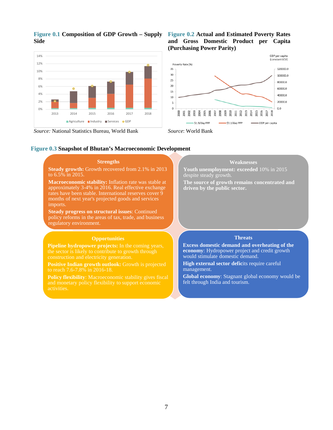

#### **Figure 0.1 Composition of GDP Growth – Supply Side**

*Source:* National Statistics Bureau, World Bank *Source*: World Bank

#### **Figure 0.2 Actual and Estimated Poverty Rates and Gross Domestic Product per Capita (Purchasing Power Parity)**



#### **Figure 0.3 Snapshot of Bhutan's Macroeconomic Development**

| <b>Strengths</b>                                                                                                                                                                                                                                | <b>Weaknesses</b>                                                                                                                         |
|-------------------------------------------------------------------------------------------------------------------------------------------------------------------------------------------------------------------------------------------------|-------------------------------------------------------------------------------------------------------------------------------------------|
| <b>Steady growth:</b> Growth recovered from 2.1% in 2013<br>to $6.5\%$ in 2015.                                                                                                                                                                 | Youth unemployment: exceeded 10% in 2015<br>despite steady growth.                                                                        |
| <b>Macroeconomic stability:</b> Inflation rate was stable at<br>approximately 3-4% in 2016. Real effective exchange<br>rates have been stable. International reserves cover 9<br>months of next year's projected goods and services<br>imports. | The source of growth remains concentrated and<br>driven by the public sector.                                                             |
| <b>Steady progress on structural issues: Continued</b><br>policy reforms in the areas of tax, trade, and business<br>regulatory environment.                                                                                                    |                                                                                                                                           |
|                                                                                                                                                                                                                                                 |                                                                                                                                           |
| <b>Opportunities</b>                                                                                                                                                                                                                            | <b>Threats</b>                                                                                                                            |
| <b>Pipeline hydropower projects:</b> In the coming years,<br>the sector is likely to contribute to growth through<br>construction and electricity generation.                                                                                   | <b>Excess domestic demand and overheating of the</b><br>economy: Hydropower project and credit growth<br>would stimulate domestic demand. |
| <b>Positive Indian growth outlook:</b> Growth is projected<br>to reach 7.6-7.8% in 2016-18.                                                                                                                                                     | <b>High external sector deficits require careful</b><br>management.                                                                       |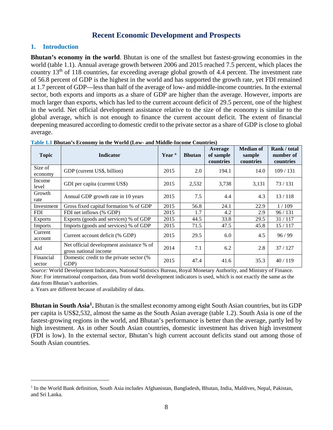#### **Recent Economic Development and Prospects**

#### **1. Introduction**

**Bhutan's economy in the world.** Bhutan is one of the smallest but fastest-growing economies in the world (table 1.1). Annual average growth between 2006 and 2015 reached 7.5 percent, which places the country 13th of 118 countries, far exceeding average global growth of 4.4 percent. The investment rate of 56.8 percent of GDP is the highest in the world and has supported the growth rate, yet FDI remained at 1.7 percent of GDP—less than half of the average of low- and middle-income countries. In the external sector, both exports and imports as a share of GDP are higher than the average. However, imports are much larger than exports, which has led to the current account deficit of 29.5 percent, one of the highest in the world. Net official development assistance relative to the size of the economy is similar to the global average, which is not enough to finance the current account deficit. The extent of financial deepening measured according to domestic credit to the private sector as a share of GDP is close to global average.

| <b>Topic</b>        | <b>Indicator</b>                                                  | Year <sup>a</sup> | <b>Bhutan</b> | Average<br>of sample<br>countries | <b>Median of</b><br>sample<br>countries | Rank / total<br>number of<br>countries |
|---------------------|-------------------------------------------------------------------|-------------------|---------------|-----------------------------------|-----------------------------------------|----------------------------------------|
| Size of<br>economy  | GDP (current US\$, billion)                                       | 2015              | 2.0           | 194.1                             | 14.0                                    | 109/131                                |
| Income<br>level     | GDI per capita (current US\$)                                     | 2015              | 2,532         | 3,738                             | 3,131                                   | 73/131                                 |
| Growth<br>rate      | Annual GDP growth rate in 10 years                                | 2015              | 7.5           | 4.4                               | 4.3                                     | 13/118                                 |
| Investment          | Gross fixed capital formation % of GDP                            | 2015              | 56.8          | 24.1                              | 22.9                                    | 1/109                                  |
| <b>FDI</b>          | FDI net inflows (% GDP)                                           | 2015              | 1.7           | 4.2                               | 2.9                                     | 96/131                                 |
| <b>Exports</b>      | Exports (goods and services) % of GDP                             | 2015              | 44.5          | 33.8                              | 29.5                                    | 31/117                                 |
| Imports             | Imports (goods and services) % of GDP                             | 2015              | 71.5          | 47.5                              | 45.8                                    | 15/117                                 |
| Current<br>account  | Current account deficit (% GDP)                                   | 2015              | 29.5          | 6.0                               | 4.5                                     | 96/99                                  |
| Aid                 | Net official development assistance % of<br>gross national income | 2014              | 7.1           | 6.2                               | 2.8                                     | 37/127                                 |
| Financial<br>sector | Domestic credit to the private sector (%<br>GDP)                  | 2015              | 47.4          | 41.6                              | 35.3                                    | 40/119                                 |

**Table 1.1 Bhutan's Economy in the World (Low- and Middle-Income Countries)**

*Source:* World Development Indicators, National Statistics Bureau, Royal Monetary Authority, and Ministry of Finance*. Note*: For international comparison, data from world development indicators is used, which is not exactly the same as the data from Bhutan's authorities.

a. Years are different because of availability of data.

**Bhutan in South Asia[1](#page-8-0).** Bhutan is the smallest economy among eight South Asian countries, but its GDP per capita is US\$2,532, almost the same as the South Asian average (table 1.2). South Asia is one of the fastest-growing regions in the world, and Bhutan's performance is better than the average, partly led by high investment. As in other South Asian countries, domestic investment has driven high investment (FDI is low). In the external sector, Bhutan's high current account deficits stand out among those of South Asian countries.

<span id="page-8-0"></span><sup>&</sup>lt;sup>1</sup> In the World Bank definition, South Asia includes Afghanistan, Bangladesh, Bhutan, India, Maldives, Nepal, Pakistan, and Sri Lanka.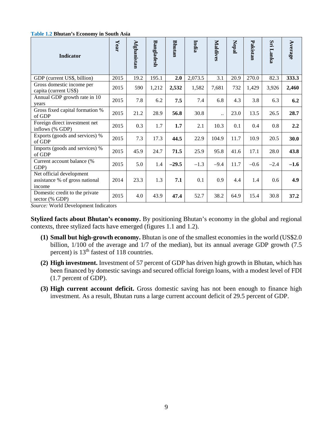#### **Table 1.2 Bhutan's Economy in South Asia**

| <b>Indicator</b>                                                     | Year | Afghanistan | Bangladesh | <b>Bhutan</b> | <b>India</b> | Maldives  | <b>Nepal</b> | Pakistan | Sri<br>Lanka | Average |
|----------------------------------------------------------------------|------|-------------|------------|---------------|--------------|-----------|--------------|----------|--------------|---------|
| GDP (current US\$, billion)                                          | 2015 | 19.2        | 195.1      | 2.0           | 2,073.5      | 3.1       | 20.9         | 270.0    | 82.3         | 333.3   |
| Gross domestic income per<br>capita (current US\$)                   | 2015 | 590         | 1,212      | 2,532         | 1,582        | 7,681     | 732          | 1,429    | 3,926        | 2,460   |
| Annual GDP growth rate in 10<br>years                                | 2015 | 7.8         | 6.2        | 7.5           | 7.4          | 6.8       | 4.3          | 3.8      | 6.3          | 6.2     |
| Gross fixed capital formation %<br>of GDP                            | 2015 | 21.2        | 28.9       | 56.8          | 30.8         | $\ddotsc$ | 23.0         | 13.5     | 26.5         | 28.7    |
| Foreign direct investment net<br>inflows (% GDP)                     | 2015 | 0.3         | 1.7        | 1.7           | 2.1          | 10.3      | 0.1          | 0.4      | 0.8          | 2.2     |
| Exports (goods and services) %<br>of GDP                             | 2015 | 7.3         | 17.3       | 44.5          | 22.9         | 104.9     | 11.7         | 10.9     | 20.5         | 30.0    |
| Imports (goods and services) %<br>of GDP                             | 2015 | 45.9        | 24.7       | 71.5          | 25.9         | 95.8      | 41.6         | 17.1     | 28.0         | 43.8    |
| Current account balance (%<br>GDP)                                   | 2015 | 5.0         | 1.4        | $-29.5$       | $-1.3$       | $-9.4$    | 11.7         | $-0.6$   | $-2.4$       | $-1.6$  |
| Net official development<br>assistance % of gross national<br>income | 2014 | 23.3        | 1.3        | 7.1           | 0.1          | 0.9       | 4.4          | 1.4      | 0.6          | 4.9     |
| Domestic credit to the private<br>sector (% GDP)                     | 2015 | 4.0         | 43.9       | 47.4          | 52.7         | 38.2      | 64.9         | 15.4     | 30.8         | 37.2    |

*Source:* World Development Indicators

**Stylized facts about Bhutan's economy.** By positioning Bhutan's economy in the global and regional contexts, three stylized facts have emerged (figures 1.1 and 1.2).

- **(1) Small but high-growth economy.** Bhutan is one of the smallest economies in the world (US\$2.0 billion,  $1/100$  of the average and  $1/7$  of the median), but its annual average GDP growth (7.5) percent) is 13<sup>th</sup> fastest of 118 countries.
- **(2) High investment.** Investment of 57 percent of GDP has driven high growth in Bhutan, which has been financed by domestic savings and secured official foreign loans, with a modest level of FDI (1.7 percent of GDP).
- **(3) High current account deficit.** Gross domestic saving has not been enough to finance high investment. As a result, Bhutan runs a large current account deficit of 29.5 percent of GDP.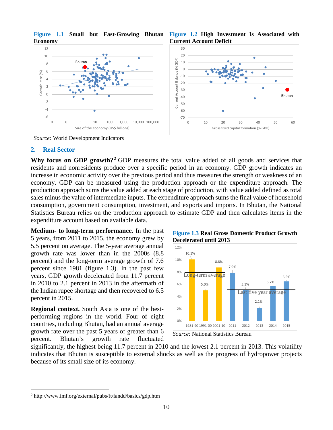

**Figure 1.1 Small but Fast-Growing Bhutan Figure 1.2 High Investment Is Associated with Economy**

**Current Account Deficit**



*Source:* World Development Indicators

#### **2. Real Sector**

**Why focus on GDP growth?[2](#page-10-0)** GDP measures the total value added of all goods and services that residents and nonresidents produce over a specific period in an economy. GDP growth indicates an increase in economic activity over the previous period and thus measures the strength or weakness of an economy. GDP can be measured using the production approach or the expenditure approach. The production approach sums the value added at each stage of production, with value added defined as total sales minus the value of intermediate inputs. The expenditure approach sums the final value of household consumption, government consumption, investment, and exports and imports. In Bhutan, the National Statistics Bureau relies on the production approach to estimate GDP and then calculates items in the expenditure account based on available data.

**Medium- to long-term performance.** In the past 5 years, from 2011 to 2015, the economy grew by 5.5 percent on average. The 5-year average annual growth rate was lower than in the 2000s (8.8 percent) and the long-term average growth of 7.6 percent since 1981 (figure 1.3). In the past few years, GDP growth decelerated from 11.7 percent in 2010 to 2.1 percent in 2013 in the aftermath of the Indian rupee shortage and then recovered to 6.5 percent in 2015.

**Regional context.** South Asia is one of the bestperforming regions in the world. Four of eight countries, including Bhutan, had an annual average growth rate over the past 5 years of greater than 6 percent. Bhutan's growth rate fluctuated

**Figure 1.3 Real Gross Domestic Product Growth Decelerated until 2013**



*Source:* National Statistics Bureau

significantly, the highest being 11.7 percent in 2010 and the lowest 2.1 percent in 2013. This volatility indicates that Bhutan is susceptible to external shocks as well as the progress of hydropower projects because of its small size of its economy.

<span id="page-10-0"></span> <sup>2</sup> http://www.imf.org/external/pubs/ft/fandd/basics/gdp.htm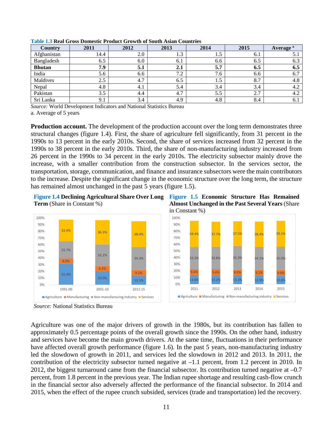| <b>Country</b> | 2011 | 2012 | 2013 | 2014 | 2015 | Average <sup>a</sup> |
|----------------|------|------|------|------|------|----------------------|
| Afghanistan    | 14.4 | 2.0  | 1.J  | 1.5  | 6.1  | J.I                  |
| Bangladesh     | 6.5  | 6.0  | 6.1  | 6.6  | 6.5  | 6.3                  |
| <b>Bhutan</b>  | 7.9  | 5.1  | 2.1  | 5.7  | 6.5  | 6.5                  |
| India          | 5.6  | 6.6  | 7.2  | 7.6  | 6.6  | 6.7                  |
| Maldives       | 2.5  | 4.7  | 6.5  | 1.5  | 8.7  | 4.8                  |
| Nepal          | 4.8  | 4.1  | 5.4  | 3.4  | 3.4  | 4.2                  |
| Pakistan       | 3.5  | 4.4  | 4.7  | 5.5  | 2.7  | 4.2                  |
| Sri Lanka      | 9.1  | 3.4  | 4.9  | 4.8  | 8.4  | 6.1                  |

**Table 1.3 Real Gross Domestic Product Growth of South Asian Countries**

*Source:* World Development Indicators and National Statistics Bureau

a. Average of 5 years

**Production account.** The development of the production account over the long term demonstrates three structural changes (figure 1.4). First, the share of agriculture fell significantly, from 31 percent in the 1990s to 13 percent in the early 2010s. Second, the share of services increased from 32 percent in the 1990s to 38 percent in the early 2010s. Third, the share of non-manufacturing industry increased from 26 percent in the 1990s to 34 percent in the early 2010s. The electricity subsector mainly drove the increase, with a smaller contribution from the construction subsector. In the services sector, the transportation, storage, communication, and finance and insurance subsectors were the main contributors to the increase. Despite the significant change in the economic structure over the long term, the structure has remained almost unchanged in the past 5 years (figure 1.5).

**Figure 1.4 Declining Agricultural Share Over Long Figure 1.5 Economic Structure Has Remained Term** (Share in Constant %)



**Almost Unchanged in the Past Several Years** (Share in Constant %)



*Source:* National Statistics Bureau

Agriculture was one of the major drivers of growth in the 1980s, but its contribution has fallen to approximately 0.5 percentage points of the overall growth since the 1990s. On the other hand, industry and services have become the main growth drivers. At the same time, fluctuations in their performance have affected overall growth performance (figure 1.6). In the past 5 years, non-manufacturing industry led the slowdown of growth in 2011, and services led the slowdown in 2012 and 2013. In 2011, the contribution of the electricity subsector turned negative at –1.1 percent, from 1.2 percent in 2010. In 2012, the biggest turnaround came from the financial subsector. Its contribution turned negative at –0.7 percent, from 1.8 percent in the previous year. The Indian rupee shortage and resulting cash-flow crunch in the financial sector also adversely affected the performance of the financial subsector. In 2014 and 2015, when the effect of the rupee crunch subsided, services (trade and transportation) led the recovery.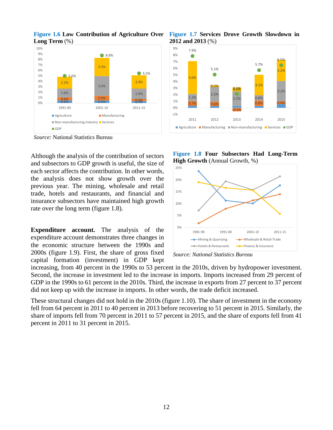

**Figure 1.6 Low Contribution of Agriculture Over Figure 1.7 Services Drove Growth Slowdown in Long Term** (%)

*Source:* National Statistics Bureau

Although the analysis of the contribution of sectors and subsectors to GDP growth is useful, the size of each sector affects the contribution. In other words, the analysis does not show growth over the previous year. The mining, wholesale and retail trade, hotels and restaurants, and financial and insurance subsectors have maintained high growth rate over the long term (figure 1.8).

**Expenditure account.** The analysis of the expenditure account demonstrates three changes in the economic structure between the 1990s and 2000s (figure 1.9). First, the share of gross fixed capital formation (investment) in GDP kept











increasing, from 40 percent in the 1990s to 53 percent in the 2010s, driven by hydropower investment. Second, the increase in investment led to the increase in imports. Imports increased from 29 percent of GDP in the 1990s to 61 percent in the 2010s. Third, the increase in exports from 27 percent to 37 percent did not keep up with the increase in imports. In other words, the trade deficit increased.

These structural changes did not hold in the 2010s (figure 1.10). The share of investment in the economy fell from 64 percent in 2011 to 40 percent in 2013 before recovering to 51 percent in 2015. Similarly, the share of imports fell from 70 percent in 2011 to 57 percent in 2015, and the share of exports fell from 41 percent in 2011 to 31 percent in 2015.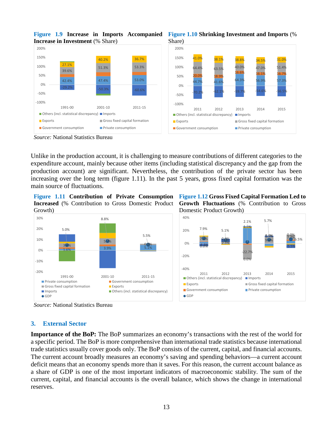

**Figure 1.9 Increase in Imports Accompanied**

*Source:* National Statistics Bureau

Unlike in the production account, it is challenging to measure contributions of different categories to the expenditure account, mainly because other items (including statistical discrepancy and the gap from the production account) are significant. Nevertheless, the contribution of the private sector has been increasing over the long term (figure 1.11). In the past 5 years, gross fixed capital formation was the main source of fluctuations.

**Figure 1.11 Contribution of Private Consumption Increased** (% Contribution to Gross Domestic Product Growth)



**Figure 1.12 Gross Fixed Capital Formation Led to Growth Fluctuations** (% Contribution to Gross Domestic Product Growth)



*Source:* National Statistics Bureau

#### **3. External Sector**

**Importance of the BoP:** The BoP summarizes an economy's transactions with the rest of the world for a specific period. The BoP is more comprehensive than international trade statistics because international trade statistics usually cover goods only. The BoP consists of the current, capital, and financial accounts. The current account broadly measures an economy's saving and spending behaviors—a current account deficit means that an economy spends more than it saves. For this reason, the current account balance as a share of GDP is one of the most important indicators of macroeconomic stability. The sum of the current, capital, and financial accounts is the overall balance, which shows the change in international reserves.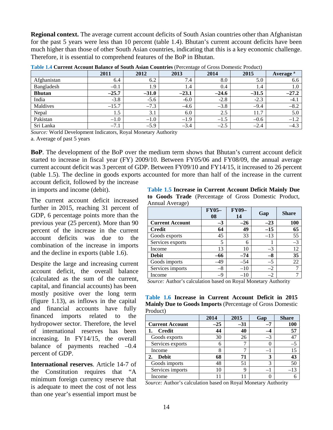**Regional context.** The average current account deficits of South Asian countries other than Afghanistan for the past 5 years were less than 10 percent (table 1.4). Bhutan's current account deficits have been much higher than those of other South Asian countries, indicating that this is a key economic challenge. Therefore, it is essential to comprehend features of the BoP in Bhutan.

|               | 2011    | 2012    | 2013    | ັ<br>2014 | 2015    | Average <sup>a</sup> |
|---------------|---------|---------|---------|-----------|---------|----------------------|
| Afghanistan   | 6.4     | 6.2     | 7.4     | 8.0       | 5.0     | 6.6                  |
| Bangladesh    | $-0.1$  | 1.9     | 1.4     | 0.4       | 1.4     | 1.0                  |
| <b>Bhutan</b> | $-25.7$ | $-31.0$ | $-23.1$ | $-24.6$   | $-31.5$ | $-27.2$              |
| India         | $-3.8$  | $-5.6$  | $-6.0$  | $-2.8$    | $-2.3$  | $-4.1$               |
| Maldives      | $-15.7$ | $-7.3$  | $-4.6$  | $-3.8$    | $-9.4$  | $-8.2$               |
| Nepal         | 1.5     | 3.1     | 6.0     | 2.5       | 11.7    | 5.0                  |
| Pakistan      | $-1.0$  | $-1.0$  | $-1.9$  | $-1.5$    | $-0.6$  | $-1.2$               |
| Sri Lanka     | $-7.1$  | $-5.9$  | $-3.4$  | $-2.5$    | $-2.4$  | $-4.3$               |

**Table 1.4 Current Account Balance of South Asian Countries** (Percentage of Gross Domestic Product)

*Source:* World Development Indicators, Royal Monetary Authority

a. Average of past 5 years

**BoP**. The development of the BoP over the medium term shows that Bhutan's current account deficit started to increase in fiscal year (FY) 2009/10. Between FY05/06 and FY08/09, the annual average current account deficit was 3 percent of GDP. Between FY09/10 and FY14/15, it increased to 26 percent (table 1.5). The decline in goods exports accounted for more than half of the increase in the current

account deficit, followed by the increase in imports and income (debit).

The current account deficit increased further in 2015, reaching 31 percent of GDP, 6 percentage points more than the previous year (25 percent). More than 90 percent of the increase in the current account deficits was due to the combination of the increase in imports and the decline in exports (table 1.6).

Despite the large and increasing current account deficit, the overall balance (calculated as the sum of the current, capital, and financial accounts) has been mostly positive over the long term (figure 1.13), as inflows in the capital and financial accounts have fully financed imports related to the hydropower sector. Therefore, the level of international reserves has been increasing. In FY14/15, the overall balance of payments reached  $-0.4$ percent of GDP.

**International reserves**. Article 14-7 of the Constitution requires that "A minimum foreign currency reserve that is adequate to meet the cost of not less than one year's essential import must be

**Table 1.5 Increase in Current Account Deficit Mainly Due to Goods Trade** (Percentage of Gross Domestic Product, Annual Average)

|                        | <b>FY05-</b><br>08 | <b>FY09-</b><br>14 | Gap   | <b>Share</b> |
|------------------------|--------------------|--------------------|-------|--------------|
| <b>Current Account</b> | $-3$               | $-26$              | $-23$ | 100          |
| <b>Credit</b>          | 64                 | 49                 | $-15$ | 65           |
| Goods exports          | 45                 | 33                 | $-13$ | 55           |
| Services exports       | 5                  | 6                  |       | $-3$         |
| Income                 | 13                 | 10                 | $-3$  | 12           |
| <b>Debit</b>           | -66                | $-74$              | $-8$  | 35           |
| Goods imports          | 49                 | $-54$              | $-5$  | 22           |
| Services imports       | $-8$               | $-10$              | $-2$  |              |
| Income                 | $-9$               | $-10$              | $-2$  |              |

*Source:* Author's calculation based on Royal Monetary Authority

**Table 1.6 Increase in Current Account Deficit in 2015 Mainly Due to Goods Imports** (Percentage of Gross Domestic Product)

|                        | 2014  | 2015  | Gap  | <b>Share</b> |
|------------------------|-------|-------|------|--------------|
| <b>Current Account</b> | $-25$ | $-31$ | -7   | <b>100</b>   |
| <b>Credit</b>          | 44    | 40    |      | 57           |
| Goods exports          | 30    | 26    | $-3$ | 47           |
| Services exports       | 6     |       |      | $-5$         |
| Income                 | 8     |       | $-1$ | 15           |
| <b>Debit</b><br>2.     | 68    | 71    | 3    | 43           |
| Goods imports          | 48    | 51    | 3    | 50           |
| Services imports       | 10    | 9     |      | -13          |
| Income                 |       |       |      |              |

*Source:* Author's calculation based on Royal Monetary Authority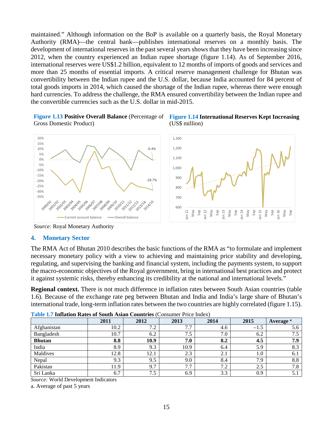maintained." Although information on the BoP is available on a quarterly basis, the Royal Monetary Authority (RMA)—the central bank—publishes international reserves on a monthly basis. The development of international reserves in the past several years shows that they have been increasing since 2012, when the country experienced an Indian rupee shortage (figure 1.14). As of September 2016, international reserves were US\$1.2 billion, equivalent to 12 months of imports of goods and services and more than 25 months of essential imports. A critical reserve management challenge for Bhutan was convertibility between the Indian rupee and the U.S. dollar, because India accounted for 84 percent of total goods imports in 2014, which caused the shortage of the Indian rupee, whereas there were enough hard currencies. To address the challenge, the RMA ensured convertibility between the Indian rupee and the convertible currencies such as the U.S. dollar in mid-2015.

Gross Domestic Product)





*Source:* Royal Monetary Authority

#### **4. Monetary Sector**

The RMA Act of Bhutan 2010 describes the basic functions of the RMA as "to formulate and implement necessary monetary policy with a view to achieving and maintaining price stability and developing, regulating, and supervising the banking and financial system, including the payments system, to support the macro-economic objectives of the Royal government, bring in international best practices and protect it against systemic risks, thereby enhancing its credibility at the national and international levels."

**Regional context.** There is not much difference in inflation rates between South Asian countries (table 1.6). Because of the exchange rate peg between Bhutan and India and India's large share of Bhutan's international trade, long-term inflation rates between the two countries are highly correlated (figure 1.15).

| <b>Table 1.7 Imiauon Rates of South Asian Countries</b> (Consumer Fried muck) |      |      |      |      |        |                      |
|-------------------------------------------------------------------------------|------|------|------|------|--------|----------------------|
|                                                                               | 2011 | 2012 | 2013 | 2014 | 2015   | Average <sup>a</sup> |
| Afghanistan                                                                   | 10.2 | 7.2  | 7.7  | 4.6  | $-1.5$ | 5.6                  |
| Bangladesh                                                                    | 10.7 | 6.2  | 7.5  | 7.0  | 6.2    | 7.5                  |
| <b>Bhutan</b>                                                                 | 8.8  | 10.9 | 7.0  | 8.2  | 4.5    | 7.9                  |
| India                                                                         | 8.9  | 9.3  | 10.9 | 6.4  | 5.9    | 8.3                  |
| Maldives                                                                      | 12.8 | 12.1 | 2.3  | 2.1  | 0.1    | 6.1                  |
| Nepal                                                                         | 9.3  | 9.5  | 9.0  | 8.4  | 7.9    | 8.8                  |
| Pakistan                                                                      | 11.9 | 9.7  | 7.7  | 7.2  | 2.5    | 7.8                  |
| Sri Lanka                                                                     | 6.7  | 7.5  | 6.9  | 3.3  | 0.9    | 5.1                  |

**Table 1.7 Inflation Rates of South Asian Countries** (Consumer Price Index)

*Source:* World Development Indicators

a. Average of past 5 years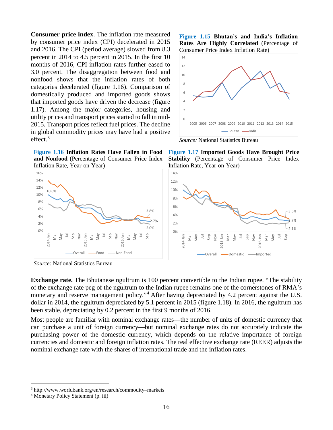**Consumer price index**. The inflation rate measured by consumer price index (CPI) decelerated in 2015 and 2016. The CPI (period average) slowed from 8.3 percent in 2014 to 4.5 percent in 2015. In the first 10 months of 2016, CPI inflation rates further eased to 3.0 percent. The disaggregation between food and nonfood shows that the inflation rates of both categories decelerated (figure 1.16). Comparison of domestically produced and imported goods shows that imported goods have driven the decrease (figure 1.17). Among the major categories, housing and utility prices and transport prices started to fall in mid-2015. Transport prices reflect fuel prices. The decline in global commodity prices may have had a positive effect. [3](#page-16-0)

**Figure 1.16 Inflation Rates Have Fallen in Food and Nonfood** (Percentage of Consumer Price Index Inflation Rate, Year-on-Year)



*Source:* National Statistics Bureau

**Figure 1.15 Bhutan's and India's Inflation Rates Are Highly Correlated** (Percentage of Consumer Price Index Inflation Rate)



*Source:* National Statistics Bureau

**Figure 1.17 Imported Goods Have Brought Price Stability** (Percentage of Consumer Price Index Inflation Rate, Year-on-Year)



**Exchange rate.** The Bhutanese ngultrum is 100 percent convertible to the Indian rupee. "The stability of the exchange rate peg of the ngultrum to the Indian rupee remains one of the cornerstones of RMA's monetary and reserve management policy."<sup>[4](#page-16-1)</sup> After having depreciated by 4.2 percent against the U.S. dollar in 2014, the ngultrum depreciated by 5.1 percent in 2015 (figure 1.18). In 2016, the ngultrum has been stable, depreciating by 0.2 percent in the first 9 months of 2016.

Most people are familiar with nominal exchange rates—the number of units of domestic currency that can purchase a unit of foreign currency—but nominal exchange rates do not accurately indicate the purchasing power of the domestic currency, which depends on the relative importance of foreign currencies and domestic and foreign inflation rates. The real effective exchange rate (REER) adjusts the nominal exchange rate with the shares of international trade and the inflation rates.

<span id="page-16-0"></span> <sup>3</sup> http://www.worldbank.org/en/research/commodity–markets

<span id="page-16-1"></span><sup>4</sup> Monetary Policy Statement (p. iii)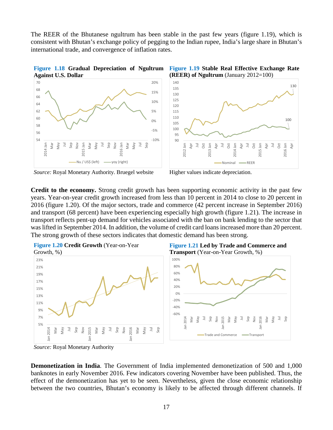The REER of the Bhutanese ngultrum has been stable in the past few years (figure 1.19), which is consistent with Bhutan's exchange policy of pegging to the Indian rupee, India's large share in Bhutan's international trade, and convergence of inflation rates.



*Source:* Royal Monetary Authority. Bruegel website Higher values indicate depreciation.



**Credit to the economy.** Strong credit growth has been supporting economic activity in the past few years. Year-on-year credit growth increased from less than 10 percent in 2014 to close to 20 percent in 2016 (figure 1.20). Of the major sectors, trade and commerce (42 percent increase in September 2016) and transport (68 percent) have been experiencing especially high growth (figure 1.21). The increase in transport reflects pent-up demand for vehicles associated with the ban on bank lending to the sector that was lifted in September 2014. In addition, the volume of credit card loans increased more than 20 percent. The strong growth of these sectors indicates that domestic demand has been strong.





**Demonetization in India**. The Government of India implemented demonetization of 500 and 1,000 banknotes in early November 2016. Few indicators covering November have been published. Thus, the effect of the demonetization has yet to be seen. Nevertheless, given the close economic relationship between the two countries, Bhutan's economy is likely to be affected through different channels. If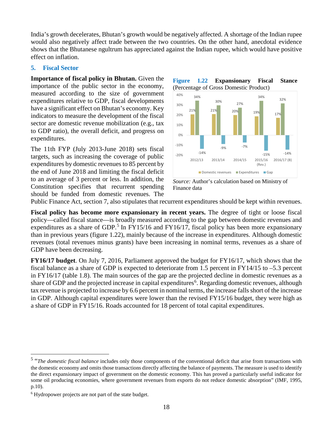India's growth decelerates, Bhutan's growth would be negatively affected. A shortage of the Indian rupee would also negatively affect trade between the two countries. On the other hand, anecdotal evidence shows that the Bhutanese ngultrum has appreciated against the Indian rupee, which would have positive effect on inflation.

#### **5. Fiscal Sector**

**Importance of fiscal policy in Bhutan.** Given the importance of the public sector in the economy, measured according to the size of government expenditures relative to GDP, fiscal developments have a significant effect on Bhutan's economy. Key indicators to measure the development of the fiscal sector are domestic revenue mobilization (e.g., tax to GDP ratio), the overall deficit, and progress on expenditures.

The 11th FYP (July 2013-June 2018) sets fiscal targets, such as increasing the coverage of public expenditures by domestic revenues to 85 percent by the end of June 2018 and limiting the fiscal deficit to an average of 3 percent or less. In addition, the Constitution specifies that recurrent spending should be funded from domestic revenues. The



*Source:* Author's calculation based on Ministry of Finance data

Public Finance Act, section 7, also stipulates that recurrent expenditures should be kept within revenues.

**Fiscal policy has become more expansionary in recent years.** The degree of tight or loose fiscal policy—called fiscal stance—is broadly measured according to the gap between domestic revenues and expenditures as a share of GDP.<sup>[5](#page-18-0)</sup> In FY15/16 and FY16/17, fiscal policy has been more expansionary than in previous years (figure 1.22), mainly because of the increase in expenditures. Although domestic revenues (total revenues minus grants) have been increasing in nominal terms, revenues as a share of GDP have been decreasing.

**FY16/17 budget**. On July 7, 2016, Parliament approved the budget for FY16/17, which shows that the fiscal balance as a share of GDP is expected to deteriorate from 1.5 percent in FY14/15 to –5.3 percent in FY16/17 (table 1.8). The main sources of the gap are the projected decline in domestic revenues as a share of GDP and the projected increase in capital expenditures<sup>[6](#page-18-1)</sup>. Regarding domestic revenues, although tax revenue is projected to increase by 6.6 percent in nominal terms, the increase falls short of the increase in GDP. Although capital expenditures were lower than the revised FY15/16 budget, they were high as a share of GDP in FY15/16. Roads accounted for 18 percent of total capital expenditures.

<span id="page-18-0"></span><sup>&</sup>lt;sup>5</sup> "The domestic fiscal balance includes only those components of the conventional deficit that arise from transactions with the domestic economy and omits those transactions directly affecting the balance of payments. The measure is used to identify the direct expansionary impact of government on the domestic economy. This has proved a particularly useful indicator for some oil producing economies, where government revenues from exports do not reduce domestic absorption" (IMF, 1995, p.10).

<span id="page-18-1"></span><sup>6</sup> Hydropower projects are not part of the state budget.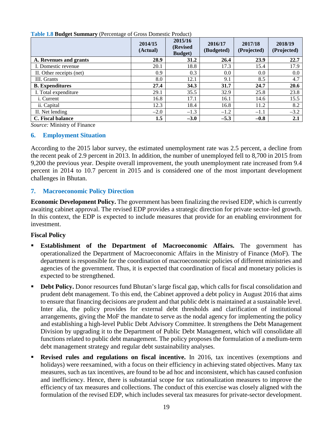| ັ<br>ັ                   | 2014/15<br>(Actual) | 2015/16<br>(Revised<br><b>Budget</b> ) | 2016/17<br>(Budgeted) | 2017/18<br>(Projected) | 2018/19<br>(Projected) |
|--------------------------|---------------------|----------------------------------------|-----------------------|------------------------|------------------------|
| A. Revenues and grants   | 28.9                | 31.2                                   | 26.4                  | 23.9                   | 22.7                   |
| I. Domestic revenue      | 20.1                | 18.8                                   | 17.3                  | 15.4                   | 17.9                   |
| II. Other receipts (net) | 0.9                 | 0.3                                    | 0.0                   | 0.0                    | 0.0                    |
| III. Grants              | 8.0                 | 12.1                                   | 9.1                   | 8.5                    | 4.7                    |
| <b>B.</b> Expenditures   | 27.4                | 34.3                                   | 31.7                  | 24.7                   | 20.6                   |
| I. Total expenditure     | 29.1                | 35.5                                   | 32.9                  | 25.8                   | 23.8                   |
| <i>i</i> . Current       | 16.8                | 17.1                                   | 16.1                  | 14.6                   | 15.5                   |
| ii. Capital              | 12.3                | 18.4                                   | 16.8                  | 11.2                   | 8.2                    |
| II. Net lending          | $-2.0$              | $-1.3$                                 | $-1.2$                | $-1.1$                 | $-3.2$                 |
| C. Fiscal balance        | 1.5                 | $-3.0$                                 | $-5.3$                | $-0.8$                 | 2.1                    |

**Table 1.8 Budget Summary** (Percentage of Gross Domestic Product)

*Source:* Ministry of Finance

#### **6. Employment Situation**

According to the 2015 labor survey, the estimated unemployment rate was 2.5 percent, a decline from the recent peak of 2.9 percent in 2013. In addition, the number of unemployed fell to 8,700 in 2015 from 9,200 the previous year. Despite overall improvement, the youth unemployment rate increased from 9.4 percent in 2014 to 10.7 percent in 2015 and is considered one of the most important development challenges in Bhutan.

#### **7. Macroeconomic Policy Direction**

**Economic Development Policy.** The government has been finalizing the revised EDP, which is currently awaiting cabinet approval. The revised EDP provides a strategic direction for private sector–led growth. In this context, the EDP is expected to include measures that provide for an enabling environment for investment.

#### **Fiscal Policy**

- **Establishment of the Department of Macroeconomic Affairs.** The government has operationalized the Department of Macroeconomic Affairs in the Ministry of Finance (MoF). The department is responsible for the coordination of macroeconomic policies of different ministries and agencies of the government. Thus, it is expected that coordination of fiscal and monetary policies is expected to be strengthened.
- **Debt Policy.** Donor resources fund Bhutan's large fiscal gap, which calls for fiscal consolidation and prudent debt management. To this end, the Cabinet approved a debt policy in August 2016 that aims to ensure that financing decisions are prudent and that public debt is maintained at a sustainable level. Inter alia, the policy provides for external debt thresholds and clarification of institutional arrangements, giving the MoF the mandate to serve as the nodal agency for implementing the policy and establishing a high-level Public Debt Advisory Committee. It strengthens the Debt Management Division by upgrading it to the Department of Public Debt Management, which will consolidate all functions related to public debt management. The policy proposes the formulation of a medium-term debt management strategy and regular debt sustainability analyses.
- **Revised rules and regulations on fiscal incentive.** In 2016, tax incentives (exemptions and holidays) were reexamined, with a focus on their efficiency in achieving stated objectives. Many tax measures, such as tax incentives, are found to be ad hoc and inconsistent, which has caused confusion and inefficiency. Hence, there is substantial scope for tax rationalization measures to improve the efficiency of tax measures and collections. The conduct of this exercise was closely aligned with the formulation of the revised EDP, which includes several tax measures for private-sector development.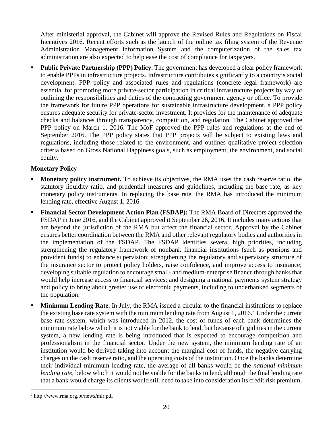After ministerial approval, the Cabinet will approve the Revised Rules and Regulations on Fiscal Incentives 2016. Recent efforts such as the launch of the online tax filing system of the Revenue Administration Management Information System and the computerization of the sales tax administration are also expected to help ease the cost of compliance for taxpayers.

 **Public Private Partnership (PPP) Policy.** The government has developed a clear policy framework to enable PPPs in infrastructure projects. Infrastructure contributes significantly to a country's social development. PPP policy and associated rules and regulations (concrete legal framework) are essential for promoting more private-sector participation in critical infrastructure projects by way of outlining the responsibilities and duties of the contracting government agency or office. To provide the framework for future PPP operations for sustainable infrastructure development, a PPP policy ensures adequate security for private-sector investment. It provides for the maintenance of adequate checks and balances through transparency, competition, and regulation. The Cabinet approved the PPP policy on March 1, 2016. The MoF approved the PPP rules and regulations at the end of September 2016. The PPP policy states that PPP projects will be subject to existing laws and regulations, including those related to the environment, and outlines qualitative project selection criteria based on Gross National Happiness goals, such as employment, the environment, and social equity.

#### **Monetary Policy**

- **Monetary policy instrument.** To achieve its objectives, the RMA uses the cash reserve ratio, the statutory liquidity ratio, and prudential measures and guidelines, including the base rate, as key monetary policy instruments. In replacing the base rate, the RMA has introduced the minimum lending rate, effective August 1, 2016.
- **Financial Sector Development Action Plan (FSDAP):** The RMA Board of Directors approved the FSDAP in June 2016, and the Cabinet approved it September 26, 2016. It includes many actions that are beyond the jurisdiction of the RMA but affect the financial sector. Approval by the Cabinet ensures better coordination between the RMA and other relevant regulatory bodies and authorities in the implementation of the FSDAP. The FSDAP identifies several high priorities, including strengthening the regulatory framework of nonbank financial institutions (such as pensions and provident funds) to enhance supervision; strengthening the regulatory and supervisory structure of the insurance sector to protect policy holders, raise confidence, and improve access to insurance; developing suitable regulation to encourage small- and medium-enterprise finance through banks that would help increase access to financial services; and designing a national payments system strategy and policy to bring about greater use of electronic payments, including to underbanked segments of the population.
- **Minimum Lending Rate.** In July, the RMA issued a circular to the financial institutions to replace the existing base rate system with the minimum lending rate from August 1, 2016.<sup>[7](#page-20-0)</sup> Under the current base rate system, which was introduced in 2012, the cost of funds of each bank determines the minimum rate below which it is not viable for the bank to lend, but because of rigidities in the current system, a new lending rate is being introduced that is expected to encourage competition and professionalism in the financial sector. Under the new system, the minimum lending rate of an institution would be derived taking into account the marginal cost of funds, the negative carrying charges on the cash reserve ratio, and the operating costs of the institution. Once the banks determine their individual minimum lending rate, the average of all banks would be the *national minimum lending rate*, below which it would not be viable for the banks to lend, although the final lending rate that a bank would charge its clients would still need to take into consideration its credit risk premium,

<span id="page-20-0"></span> <sup>7</sup> http://www.rma.org.bt/news/mlr.pdf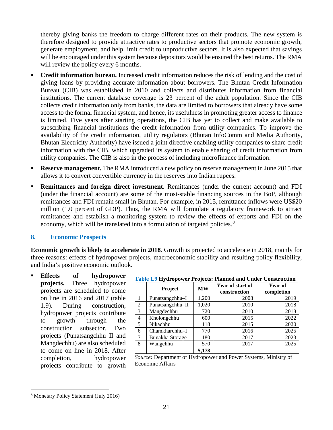thereby giving banks the freedom to charge different rates on their products. The new system is therefore designed to provide attractive rates to productive sectors that promote economic growth, generate employment, and help limit credit to unproductive sectors. It is also expected that savings will be encouraged under this system because depositors would be ensured the best returns. The RMA will review the policy every 6 months.

- **Credit information bureau.** Increased credit information reduces the risk of lending and the cost of giving loans by providing accurate information about borrowers. The Bhutan Credit Information Bureau (CIB) was established in 2010 and collects and distributes information from financial institutions. The current database coverage is 23 percent of the adult population. Since the CIB collects credit information only from banks, the data are limited to borrowers that already have some access to the formal financial system, and hence, its usefulness in promoting greater access to finance is limited. Five years after starting operations, the CIB has yet to collect and make available to subscribing financial institutions the credit information from utility companies. To improve the availability of the credit information, utility regulators (Bhutan InfoComm and Media Authority, Bhutan Electricity Authority) have issued a joint directive enabling utility companies to share credit information with the CIB, which upgraded its system to enable sharing of credit information from utility companies. The CIB is also in the process of including microfinance information.
- **Reserve management.** The RMA introduced a new policy on reserve management in June 2015 that allows it to convert convertible currency in the reserves into Indian rupees.
- **Remittances and foreign direct investment.** Remittances (under the current account) and FDI (under the financial account) are some of the most-stable financing sources in the BoP, although remittances and FDI remain small in Bhutan. For example, in 2015, remittance inflows were US\$20 million (1.0 percent of GDP). Thus, the RMA will formulate a regulatory framework to attract remittances and establish a monitoring system to review the effects of exports and FDI on the economy, which will be translated into a formulation of targeted policies.<sup>[8](#page-21-0)</sup>

#### **8. Economic Prospects**

**Economic growth is likely to accelerate in 2018**. Growth is projected to accelerate in 2018, mainly for three reasons: effects of hydropower projects, macroeconomic stability and resulting policy flexibility, and India's positive economic outlook.

 **Effects of hydropower projects.** Three hydropower projects are scheduled to come on line in 2016 and 2017 (table 1.9). During construction, hydropower projects contribute to growth through the construction subsector. Two projects (Punatsangchhu II and Mangdechhu) are also scheduled to come on line in 2018. After completion, hydropower projects contribute to growth

| <b>Table 1.9 Hydropower Projects: Planned and Under Construction</b> |
|----------------------------------------------------------------------|
|----------------------------------------------------------------------|

|   | Project          | <b>MW</b> | Year of start of<br>construction | Year of<br>completion |
|---|------------------|-----------|----------------------------------|-----------------------|
|   | Punatsangchhu-I  | 1,200     | 2008                             | 2019                  |
| 2 | Punatsangchhu-II | 1,020     | 2010                             | 2018                  |
| 3 | Mangdechhu       | 720       | 2010                             | 2018                  |
| 4 | Kholongchhu      | 600       | 2015                             | 2022                  |
| 5 | Nikachhu         | 118       | 2015                             | 2020                  |
| 6 | Chamkharchhu-I   | 770       | 2016                             | 2025                  |
| 7 | Bunakha Storage  | 180       | 2017                             | 2023                  |
| 8 | Wangchhu         | 570       | 2017                             | 2025                  |
|   |                  | 5,178     |                                  |                       |

*Source:* Department of Hydropower and Power Systems, Ministry of Economic Affairs

<span id="page-21-0"></span> <sup>8</sup> Monetary Policy Statement (July 2016)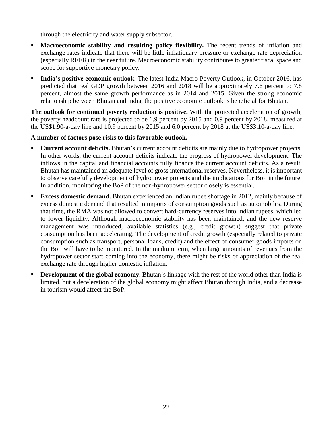through the electricity and water supply subsector.

- **Macroeconomic stability and resulting policy flexibility.** The recent trends of inflation and exchange rates indicate that there will be little inflationary pressure or exchange rate depreciation (especially REER) in the near future. Macroeconomic stability contributes to greater fiscal space and scope for supportive monetary policy.
- **India's positive economic outlook.** The latest India Macro-Poverty Outlook, in October 2016, has predicted that real GDP growth between 2016 and 2018 will be approximately 7.6 percent to 7.8 percent, almost the same growth performance as in 2014 and 2015. Given the strong economic relationship between Bhutan and India, the positive economic outlook is beneficial for Bhutan.

**The outlook for continued poverty reduction is positive.** With the projected acceleration of growth, the poverty headcount rate is projected to be 1.9 percent by 2015 and 0.9 percent by 2018, measured at the US\$1.90-a-day line and 10.9 percent by 2015 and 6.0 percent by 2018 at the US\$3.10-a-day line.

#### **A number of factors pose risks to this favorable outlook.**

- **Current account deficits.** Bhutan's current account deficits are mainly due to hydropower projects. In other words, the current account deficits indicate the progress of hydropower development. The inflows in the capital and financial accounts fully finance the current account deficits. As a result, Bhutan has maintained an adequate level of gross international reserves. Nevertheless, it is important to observe carefully development of hydropower projects and the implications for BoP in the future. In addition, monitoring the BoP of the non-hydropower sector closely is essential.
- **Excess domestic demand.** Bhutan experienced an Indian rupee shortage in 2012, mainly because of excess domestic demand that resulted in imports of consumption goods such as automobiles. During that time, the RMA was not allowed to convert hard-currency reserves into Indian rupees, which led to lower liquidity. Although macroeconomic stability has been maintained, and the new reserve management was introduced, available statistics (e.g., credit growth) suggest that private consumption has been accelerating. The development of credit growth (especially related to private consumption such as transport, personal loans, credit) and the effect of consumer goods imports on the BoP will have to be monitored. In the medium term, when large amounts of revenues from the hydropower sector start coming into the economy, there might be risks of appreciation of the real exchange rate through higher domestic inflation.
- **Development of the global economy.** Bhutan's linkage with the rest of the world other than India is limited, but a deceleration of the global economy might affect Bhutan through India, and a decrease in tourism would affect the BoP.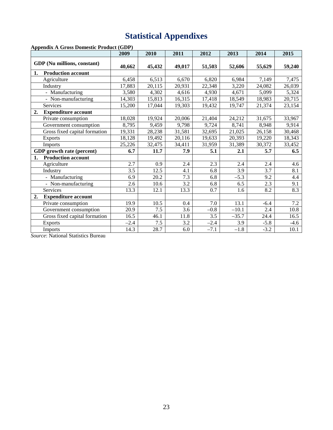# **Statistical Appendixes**

**Appendix A Gross Domestic Product (GDP)**

|                                  | 2009   | 2010   | 2011   | 2012   | 2013    | 2014   | 2015   |
|----------------------------------|--------|--------|--------|--------|---------|--------|--------|
| GDP (Nu millions, constant)      | 40,662 | 45,432 | 49,017 | 51,503 | 52,606  | 55,629 | 59,240 |
| <b>Production account</b><br>1.  |        |        |        |        |         |        |        |
| Agriculture                      | 6,458  | 6,513  | 6,670  | 6,820  | 6,984   | 7,149  | 7,475  |
| Industry                         | 17,883 | 20,115 | 20,931 | 22,348 | 3,220   | 24,082 | 26,039 |
| - Manufacturing                  | 3,580  | 4,302  | 4,616  | 4,930  | 4,671   | 5,099  | 5,324  |
| - Non-manufacturing              | 14,303 | 15,813 | 16,315 | 17,418 | 18,549  | 18,983 | 20,715 |
| Services                         | 15,200 | 17,044 | 19,303 | 19,432 | 19,747  | 21,374 | 23,154 |
| <b>Expenditure account</b><br>2. |        |        |        |        |         |        |        |
| Private consumption              | 18,028 | 19,924 | 20,006 | 21,404 | 24,212  | 31,675 | 33,967 |
| Government consumption           | 8,795  | 9,459  | 9,798  | 9,724  | 8,741   | 8,948  | 9,914  |
| Gross fixed capital formation    | 19,331 | 28,238 | 31,581 | 32,695 | 21,025  | 26,158 | 30,468 |
| <b>Exports</b>                   | 18,128 | 19,492 | 20,116 | 19,633 | 20,393  | 19,220 | 18,343 |
| Imports                          | 25,226 | 32,475 | 34,411 | 31,959 | 31,389  | 30,372 | 33,452 |
| GDP growth rate (percent)        | 6.7    | 11.7   | 7.9    | 5.1    | 2.1     | 5.7    | 6.5    |
| <b>Production account</b><br>1.  |        |        |        |        |         |        |        |
| Agriculture                      | 2.7    | 0.9    | 2.4    | 2.3    | 2.4     | 2.4    | 4.6    |
| Industry                         | 3.5    | 12.5   | 4.1    | 6.8    | 3.9     | 3.7    | 8.1    |
| - Manufacturing                  | 6.9    | 20.2   | 7.3    | 6.8    | $-5.3$  | 9.2    | 4.4    |
| - Non-manufacturing              | 2.6    | 10.6   | 3.2    | 6.8    | 6.5     | 2.3    | 9.1    |
| Services                         | 13.3   | 12.1   | 13.3   | 0.7    | 1.6     | 8.2    | 8.3    |
| <b>Expenditure account</b><br>2. |        |        |        |        |         |        |        |
| Private consumption              | 19.9   | 10.5   | 0.4    | 7.0    | 13.1    | $-6.4$ | 7.2    |
| Government consumption           | 20.9   | 7.5    | 3.6    | $-0.8$ | $-10.1$ | 2.4    | 10.8   |
| Gross fixed capital formation    | 16.5   | 46.1   | 11.8   | 3.5    | $-35.7$ | 24.4   | 16.5   |
| <b>Exports</b>                   | $-2.4$ | 7.5    | 3.2    | $-2.4$ | 3.9     | $-5.8$ | $-4.6$ |
| Imports                          | 14.3   | 28.7   | 6.0    | $-7.1$ | $-1.8$  | $-3.2$ | 10.1   |

*Source*: National Statistics Bureau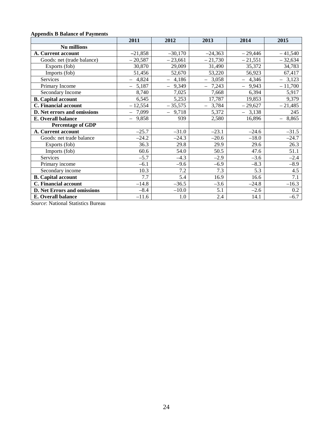#### **Appendix B Balance of Payments**

|                                    | 2011                              | 2012         | 2013              | 2014      | 2015         |
|------------------------------------|-----------------------------------|--------------|-------------------|-----------|--------------|
| Nu millions                        |                                   |              |                   |           |              |
| A. Current account                 | $-21,858$                         | $-30,170$    | $-24,363$         | $-29,446$ | $-41,540$    |
| Goods: net (trade balance)         | $-20,587$                         | $-23,661$    | $-21,730$         | $-21,551$ | $-32,634$    |
| Exports (fob)                      | 30,870                            | 29,009       | 31,490            | 35,372    | 34,783       |
| Imports (fob)                      | 51,456                            | 52,670       | 53,220            | 56,923    | 67,417       |
| Services                           | $-4,824$                          | $-4,186$     | $-3,058$          | $-4,346$  | $-3,123$     |
| Primary Income                     | 5,187<br>$\overline{\phantom{0}}$ | 9,349<br>$-$ | 7,243<br>$\equiv$ | $-9,943$  | $-11,700$    |
| Secondary Income                   | 8,740                             | 7,025        | 7,668             | 6,394     | 5,917        |
| <b>B.</b> Capital account          | 6,545                             | 5,253        | 17,787            | 19,853    | 9,379        |
| C. Financial account               | $-12,554$                         | $-35,575$    | $-3,784$          | $-29,627$ | $-21,485$    |
| D. Net errors and omissions        | 7,099<br>$\overline{\phantom{0}}$ | $-9,718$     | 5,372             | $-3,138$  | 245          |
| E. Overall balance                 | $-9,858$                          | 939          | 2,580             | 16,896    | 8,865<br>$-$ |
| <b>Percentage of GDP</b>           |                                   |              |                   |           |              |
| A. Current account                 | $-25.7$                           | $-31.0$      | $-23.1$           | $-24.6$   | $-31.5$      |
| Goods: net trade balance           | $-24.2$                           | $-24.3$      | $-20.6$           | $-18.0$   | $-24.7$      |
| Exports (fob)                      | 36.3                              | 29.8         | 29.9              | 29.6      | 26.3         |
| Imports (fob)                      | 60.6                              | 54.0         | 50.5              | 47.6      | 51.1         |
| Services                           | $-5.7$                            | $-4.3$       | $-2.9$            | $-3.6$    | $-2.4$       |
| Primary income                     | $-6.1$                            | $-9.6$       | $-6.9$            | $-8.3$    | $-8.9$       |
| Secondary income                   | 10.3                              | 7.2          | 7.3               | 5.3       | 4.5          |
| <b>B.</b> Capital account          | 7.7                               | 5.4          | 16.9              | 16.6      | 7.1          |
| C. Financial account               | $-14.8$                           | $-36.5$      | $-3.6$            | $-24.8$   | $-16.3$      |
| <b>D. Net Errors and omissions</b> | $-8.4$                            | $-10.0$      | 5.1               | $-2.6$    | 0.2          |
| E. Overall balance                 | $-11.6$                           | 1.0          | 2.4               | 14.1      | $-6.7$       |

*Source*: National Statistics Bureau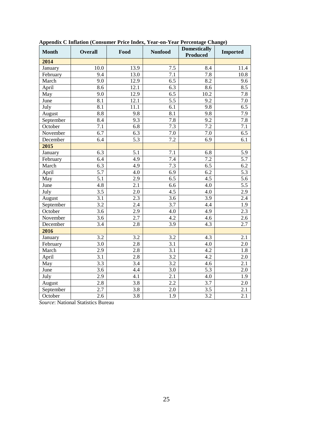| <b>Month</b> | <b>Overall</b>   | Food             | <b>Nonfood</b>   | <b>Domestically</b><br><b>Produced</b> | <b>Imported</b>  |
|--------------|------------------|------------------|------------------|----------------------------------------|------------------|
| 2014         |                  |                  |                  |                                        |                  |
| January      | 10.0             | 13.9             | 7.5              | 8.4                                    | 11.4             |
| February     | 9.4              | 13.0             | 7.1              | 7.8                                    | 10.8             |
| March        | 9.0              | 12.9             | 6.5              | 8.2                                    | 9.6              |
| April        | 8.6              | 12.1             | 6.3              | 8.6                                    | 8.5              |
| May          | 9.0              | 12.9             | 6.5              | 10.2                                   | 7.8              |
| June         | $\overline{8.1}$ | 12.1             | $\overline{5.5}$ | 9.2                                    | 7.0              |
| July         | $\overline{8.1}$ | 11.1             | 6.1              | 9.8                                    | 6.5              |
| August       | 8.8              | 9.8              | 8.1              | 9.8                                    | 7.9              |
| September    | 8.4              | 9.3              | 7.8              | 9.2                                    | $\overline{7.8}$ |
| October      | 7.1              | 6.8              | 7.3              | 7.2                                    | $\overline{7.1}$ |
| November     | 6.7              | 6.3              | $7.0\,$          | 7.0                                    | 6.5              |
| December     | 6.4              | 5.3              | 7.2              | $\overline{6.9}$                       | $\overline{6.1}$ |
| 2015         |                  |                  |                  |                                        |                  |
| January      | 6.3              | 5.1              | 7.1              | 6.8                                    | 5.9              |
| February     | 6.4              | 4.9              | 7.4              | 7.2                                    | 5.7              |
| March        | $\overline{6.3}$ | 4.9              | $\overline{7.3}$ | 6.5                                    | 6.2              |
| April        | 5.7              | 4.0              | 6.9              | 6.2                                    | 5.3              |
| May          | $\overline{5.1}$ | 2.9              | 6.5              | 4.5                                    | $\overline{5.6}$ |
| June         | 4.8              | 2.1              | 6.6              | 4.0                                    | $\overline{5.5}$ |
| July         | $\overline{3.5}$ | 2.0              | 4.5              | 4.0                                    | 2.9              |
| August       | 3.1              | $\overline{2.3}$ | 3.6              | $\overline{3.9}$                       | 2.4              |
| September    | 3.2              | 2.4              | 3.7              | $4.\overline{4}$                       | 1.9              |
| October      | $\overline{3.6}$ | $\overline{2.9}$ | 4.0              | 4.9                                    | $\overline{2.3}$ |
| November     | $\overline{3.6}$ | 2.7              | 4.2              | 4.6                                    | $\overline{2.6}$ |
| December     | 3.4              | 2.8              | 3.9              | 4.3                                    | 2.7              |
| 2016         |                  |                  |                  |                                        |                  |
| January      | $\overline{3.2}$ | 3.2              | 3.2              | 4.3                                    | 2.1              |
| February     | 3.0              | 2.8              | 3.1              | 4.0                                    | 2.0              |
| March        | 2.9              | 2.8              | 3.1              | 4.2                                    | 1.8              |
| April        | 3.1              | 2.8              | $\overline{3.2}$ | 4.2                                    | 2.0              |
| May          | 3.3              | 3.4              | 3.2              | 4.6                                    | 2.1              |
| June         | $\overline{3.6}$ | 4.4              | 3.0              | 5.3                                    | 2.0              |
| July         | $\overline{2.9}$ | 4.1              | $\overline{2.1}$ | 4.0                                    | $\overline{1.9}$ |
| August       | 2.8              | 3.8              | 2.2              | 3.7                                    | 2.0              |
| September    | 2.7              | $\overline{3.8}$ | $\overline{2.0}$ | 3.5                                    | $\overline{2.1}$ |
| October      | 2.6              | $\overline{3.8}$ | $\overline{1.9}$ | 3.2                                    | $\overline{2.1}$ |

**Appendix C Inflation (Consumer Price Index, Year-on-Year Percentage Change)**

*Source*: National Statistics Bureau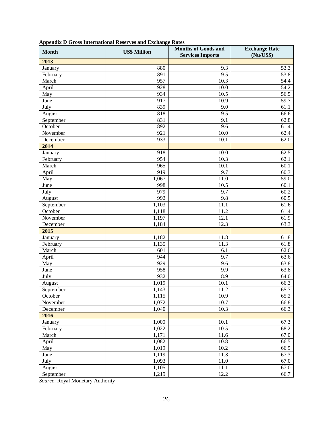|  |  |  |  |  |  |  |  | <b>Appendix D Gross International Reserves and Exchange Rates</b> |  |  |
|--|--|--|--|--|--|--|--|-------------------------------------------------------------------|--|--|
|--|--|--|--|--|--|--|--|-------------------------------------------------------------------|--|--|

| <b>Month</b>         | <b>US\$ Million</b> | <b>Months of Goods and</b><br><b>Services Imports</b> | <b>Exchange Rate</b><br>(Nu/US\$) |
|----------------------|---------------------|-------------------------------------------------------|-----------------------------------|
| 2013                 |                     |                                                       |                                   |
| January              | 880                 | 9.3                                                   | 53.3                              |
| February             | 891                 | 9.5                                                   | 53.8                              |
| March                | 957                 | 10.3                                                  | 54.4                              |
| April                | 928                 | 10.0                                                  | 54.2                              |
| $\overline{May}$     | 934                 | 10.5                                                  | 56.5                              |
| June                 | 917                 | 10.9                                                  | 59.7                              |
| July                 | 839                 | 9.0                                                   | 61.1                              |
| August               | 818                 | 9.5                                                   | 66.6                              |
| September            | 831                 | 9.1                                                   | 62.8                              |
| October              | 892                 | 9.6                                                   | 61.4                              |
| November             | 921                 | 10.0                                                  | 62.4                              |
| December             | 933                 | 10.1                                                  | 62.0                              |
| 2014                 |                     |                                                       |                                   |
| January              | 918                 | 10.0                                                  | 62.5                              |
| February             | 954                 | 10.3                                                  | 62.1                              |
| March                | 965                 | 10.1                                                  | 60.1                              |
| April                | 919                 | 9.7                                                   | 60.3                              |
| $\overline{May}$     | 1,067               | 11.0                                                  | 59.0                              |
| June                 | 998                 | 10.5                                                  | 60.1                              |
| July                 | 979                 | 9.7                                                   | 60.2                              |
| August               | 992                 | 9.8                                                   | 60.5                              |
|                      | 1,103               | 11.1                                                  | 61.6                              |
| September<br>October |                     | 11.2                                                  | 61.4                              |
| November             | 1,118<br>1,197      | 12.1                                                  |                                   |
| December             | 1,184               | 12.3                                                  | 61.9<br>63.3                      |
| 2015                 |                     |                                                       |                                   |
| January              | 1,182               | 11.8                                                  | 61.8                              |
|                      | 1,135               | 11.3                                                  | 61.8                              |
| February             |                     |                                                       |                                   |
| March                | 601                 | 6.1                                                   | 62.6                              |
| April                | 944                 | 9.7                                                   | 63.6                              |
| May                  | 929                 | 9.6                                                   | 63.8                              |
| June                 | 958                 | 9.9                                                   | 63.8                              |
| July                 | 932                 | 8.9                                                   | 64.0                              |
| August               | 1,019               | 10.1                                                  | 66.3                              |
| September            | 1,143               | 11.2                                                  | 65.7                              |
| October              | 1,115               | 10.9                                                  | 65.2                              |
| November             | 1,072               | 10.7                                                  | 66.8                              |
| December             | 1,040               | 10.3                                                  | 66.3                              |
| 2016                 |                     |                                                       |                                   |
| January              | 1,000               | 10.1                                                  | 67.3                              |
| February             | 1,022               | 10.5                                                  | 68.2                              |
| March                | 1,171               | 11.6                                                  | 67.0                              |
| April                | 1,082               | 10.8                                                  | 66.5                              |
| May                  | 1,019               | $10.2\,$                                              | 66.9                              |
| June                 | 1,119               | 11.3                                                  | 67.3                              |
| July                 | 1,093               | 11.0                                                  | 67.0                              |
| August               | 1,105               | 11.1                                                  | 67.0                              |
| September            | 1,219               | 12.2                                                  | 66.7                              |

*Source*: Royal Monetary Authority